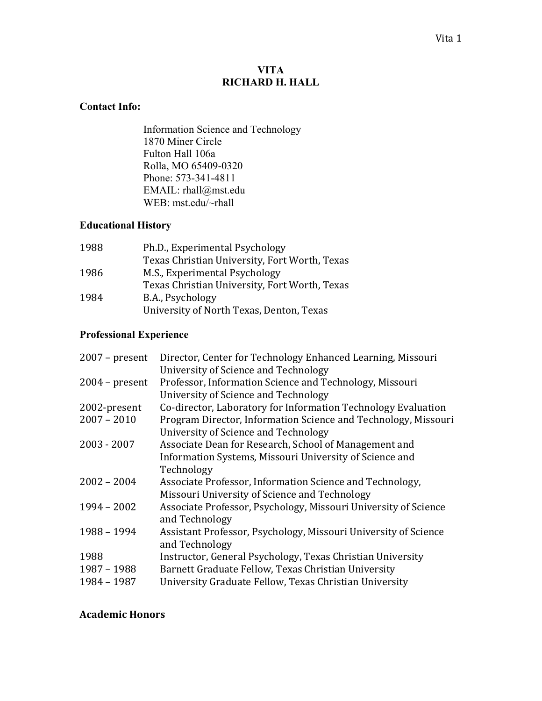## **VITA RICHARD H. HALL**

## **Contact Info:**

Information Science and Technology 1870 Miner Circle Fulton Hall 106a Rolla, MO 65409-0320 Phone: 573-341-4811 EMAIL: rhall@mst.edu WEB: mst.edu/~rhall

## **Educational History**

| 1988 | Ph.D., Experimental Psychology                |
|------|-----------------------------------------------|
|      | Texas Christian University, Fort Worth, Texas |
| 1986 | M.S., Experimental Psychology                 |
|      | Texas Christian University, Fort Worth, Texas |
| 1984 | B.A., Psychology                              |
|      | University of North Texas, Denton, Texas      |

# **Professional Experience**

| $2007$ – present | Director, Center for Technology Enhanced Learning, Missouri<br>University of Science and Technology    |
|------------------|--------------------------------------------------------------------------------------------------------|
| $2004$ – present | Professor, Information Science and Technology, Missouri<br>University of Science and Technology        |
| 2002-present     | Co-director, Laboratory for Information Technology Evaluation                                          |
| $2007 - 2010$    | Program Director, Information Science and Technology, Missouri<br>University of Science and Technology |
| $2003 - 2007$    | Associate Dean for Research, School of Management and                                                  |
|                  | Information Systems, Missouri University of Science and                                                |
|                  | Technology                                                                                             |
| $2002 - 2004$    | Associate Professor, Information Science and Technology,                                               |
|                  | Missouri University of Science and Technology                                                          |
| $1994 - 2002$    | Associate Professor, Psychology, Missouri University of Science<br>and Technology                      |
| 1988 - 1994      | Assistant Professor, Psychology, Missouri University of Science<br>and Technology                      |
| 1988             | Instructor, General Psychology, Texas Christian University                                             |
| 1987 - 1988      | Barnett Graduate Fellow, Texas Christian University                                                    |
| 1984 - 1987      | University Graduate Fellow, Texas Christian University                                                 |
|                  |                                                                                                        |

# **Academic(Honors**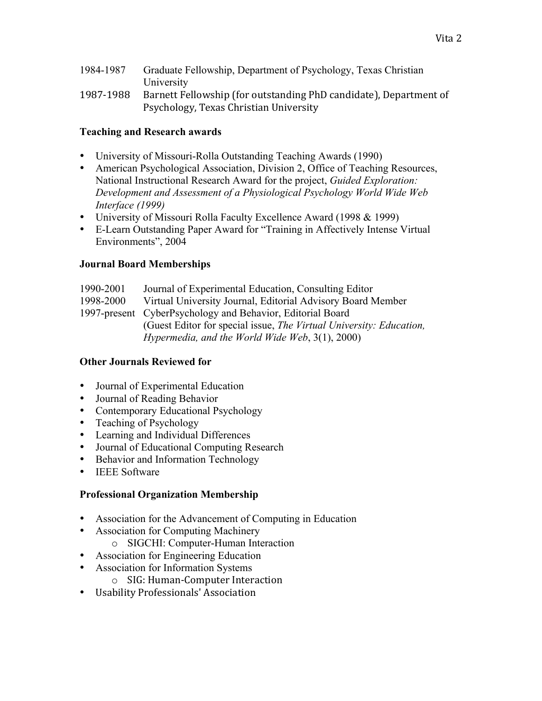1984-1987 Graduate Fellowship, Department of Psychology, Texas Christian University 1987-1988 Barnett Fellowship (for outstanding PhD candidate), Department of Psychology, Texas Christian University

## **Teaching and Research awards**

- University of Missouri-Rolla Outstanding Teaching Awards (1990)
- American Psychological Association, Division 2, Office of Teaching Resources, National Instructional Research Award for the project, *Guided Exploration: Development and Assessment of a Physiological Psychology World Wide Web Interface (1999)*
- University of Missouri Rolla Faculty Excellence Award (1998 & 1999)
- E-Learn Outstanding Paper Award for "Training in Affectively Intense Virtual Environments", 2004

#### **Journal Board Memberships**

| 1990-2001 | Journal of Experimental Education, Consulting Editor                |
|-----------|---------------------------------------------------------------------|
| 1998-2000 | Virtual University Journal, Editorial Advisory Board Member         |
|           | 1997-present CyberPsychology and Behavior, Editorial Board          |
|           | (Guest Editor for special issue, The Virtual University: Education, |
|           | Hypermedia, and the World Wide Web, $3(1)$ , $2000$ )               |

#### **Other Journals Reviewed for**

- Journal of Experimental Education
- Journal of Reading Behavior
- Contemporary Educational Psychology
- Teaching of Psychology
- Learning and Individual Differences
- Journal of Educational Computing Research
- Behavior and Information Technology
- IEEE Software

#### **Professional Organization Membership**

- Association for the Advancement of Computing in Education
- Association for Computing Machinery
	- o SIGCHI: Computer-Human Interaction
- Association for Engineering Education
- Association for Information Systems
	- o SIG: Human-Computer Interaction
- Usability Professionals' Association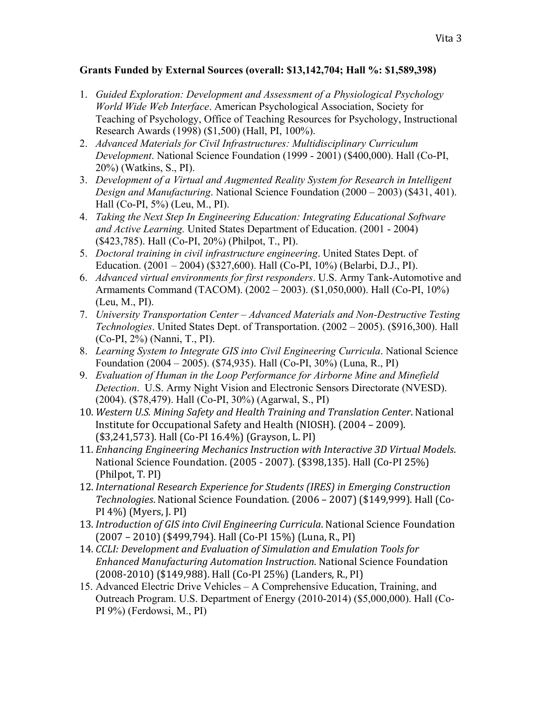# **Grants Funded by External Sources (overall: \$13,142,704; Hall %: \$1,589,398)**

- 1. *Guided Exploration: Development and Assessment of a Physiological Psychology World Wide Web Interface*. American Psychological Association, Society for Teaching of Psychology, Office of Teaching Resources for Psychology, Instructional Research Awards (1998) (\$1,500) (Hall, PI, 100%).
- 2. *Advanced Materials for Civil Infrastructures: Multidisciplinary Curriculum Development*. National Science Foundation (1999 - 2001) (\$400,000). Hall (Co-PI, 20%) (Watkins, S., PI).
- 3. *Development of a Virtual and Augmented Reality System for Research in Intelligent Design and Manufacturing*. National Science Foundation (2000 – 2003) (\$431, 401). Hall (Co-PI, 5%) (Leu, M., PI).
- 4. *Taking the Next Step In Engineering Education: Integrating Educational Software and Active Learning.* United States Department of Education. (2001 - 2004) (\$423,785). Hall (Co-PI, 20%) (Philpot, T., PI).
- 5. *Doctoral training in civil infrastructure engineering*. United States Dept. of Education. (2001 – 2004) (\$327,600). Hall (Co-PI, 10%) (Belarbi, D.J., PI).
- 6. *Advanced virtual environments for first responders*. U.S. Army Tank-Automotive and Armaments Command (TACOM). (2002 – 2003). (\$1,050,000). Hall (Co-PI, 10%) (Leu, M., PI).
- 7. *University Transportation Center Advanced Materials and Non-Destructive Testing Technologies*. United States Dept. of Transportation. (2002 – 2005). (\$916,300). Hall (Co-PI, 2%) (Nanni, T., PI).
- 8. *Learning System to Integrate GIS into Civil Engineering Curricula*. National Science Foundation (2004 – 2005). (\$74,935). Hall (Co-PI, 30%) (Luna, R., PI)
- 9. *Evaluation of Human in the Loop Performance for Airborne Mine and Minefield Detection*. U.S. Army Night Vision and Electronic Sensors Directorate (NVESD). (2004). (\$78,479). Hall (Co-PI, 30%) (Agarwal, S., PI)
- 10. Western U.S. Mining Safety and Health Training and Translation Center. National Institute for Occupational Safety and Health (NIOSH). (2004 – 2009). (\$3,241,573). Hall (Co-PI 16.4%) (Grayson, L. PI)
- 11. *Enhancing Engineering Mechanics Instruction with Interactive 3D Virtual Models.* National Science Foundation. (2005 - 2007). (\$398,135). Hall (Co-PI 25%) (Philpot, T. PI)
- 12. *International'Research'Experience'for'Students'(IRES)'in'Emerging'Construction' Technologies*. National Science Foundation. (2006 – 2007) (\$149,999). Hall (Co-PI 4%) (Myers, J. PI)
- 13. *Introduction of GIS into Civil Engineering Curricula*. National Science Foundation (2007 – 2010) (\$499,794). Hall (Co-PI 15%) (Luna, R., PI)
- 14. *CCLI:'Development'and'Evaluation'of'Simulation'and'Emulation'Tools'for'* **Enhanced Manufacturing Automation Instruction. National Science Foundation** (2008-2010) (\$149,988). Hall (Co-PI 25%) (Landers, R., PI)
- 15. Advanced Electric Drive Vehicles A Comprehensive Education, Training, and Outreach Program. U.S. Department of Energy (2010-2014) (\$5,000,000). Hall (Co-PI 9%) (Ferdowsi, M., PI)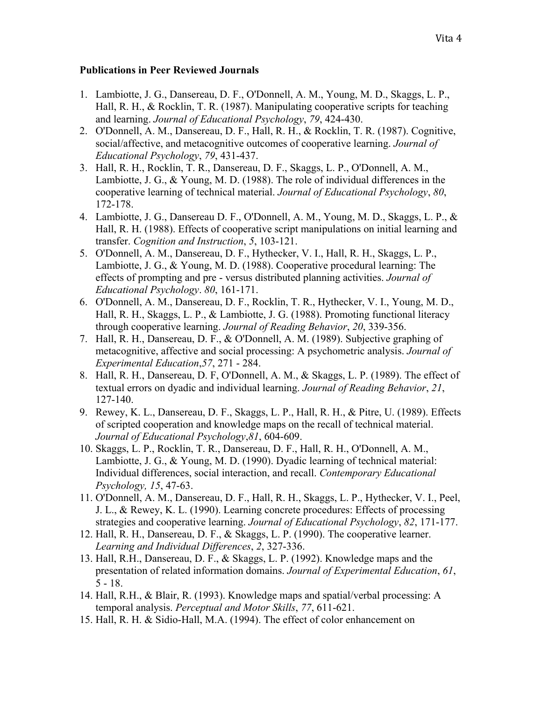#### **Publications in Peer Reviewed Journals**

- 1. Lambiotte, J. G., Dansereau, D. F., O'Donnell, A. M., Young, M. D., Skaggs, L. P., Hall, R. H., & Rocklin, T. R. (1987). Manipulating cooperative scripts for teaching and learning. *Journal of Educational Psychology*, *79*, 424-430.
- 2. O'Donnell, A. M., Dansereau, D. F., Hall, R. H., & Rocklin, T. R. (1987). Cognitive, social/affective, and metacognitive outcomes of cooperative learning. *Journal of Educational Psychology*, *79*, 431-437.
- 3. Hall, R. H., Rocklin, T. R., Dansereau, D. F., Skaggs, L. P., O'Donnell, A. M., Lambiotte, J. G., & Young, M. D. (1988). The role of individual differences in the cooperative learning of technical material. *Journal of Educational Psychology*, *80*, 172-178.
- 4. Lambiotte, J. G., Dansereau D. F., O'Donnell, A. M., Young, M. D., Skaggs, L. P., & Hall, R. H. (1988). Effects of cooperative script manipulations on initial learning and transfer. *Cognition and Instruction*, *5*, 103-121.
- 5. O'Donnell, A. M., Dansereau, D. F., Hythecker, V. I., Hall, R. H., Skaggs, L. P., Lambiotte, J. G., & Young, M. D. (1988). Cooperative procedural learning: The effects of prompting and pre - versus distributed planning activities. *Journal of Educational Psychology*. *80*, 161-171.
- 6. O'Donnell, A. M., Dansereau, D. F., Rocklin, T. R., Hythecker, V. I., Young, M. D., Hall, R. H., Skaggs, L. P., & Lambiotte, J. G. (1988). Promoting functional literacy through cooperative learning. *Journal of Reading Behavior*, *20*, 339-356.
- 7. Hall, R. H., Dansereau, D. F., & O'Donnell, A. M. (1989). Subjective graphing of metacognitive, affective and social processing: A psychometric analysis. *Journal of Experimental Education*,*57*, 271 - 284.
- 8. Hall, R. H., Dansereau, D. F, O'Donnell, A. M., & Skaggs, L. P. (1989). The effect of textual errors on dyadic and individual learning. *Journal of Reading Behavior*, *21*, 127-140.
- 9. Rewey, K. L., Dansereau, D. F., Skaggs, L. P., Hall, R. H., & Pitre, U. (1989). Effects of scripted cooperation and knowledge maps on the recall of technical material. *Journal of Educational Psychology*,*81*, 604-609.
- 10. Skaggs, L. P., Rocklin, T. R., Dansereau, D. F., Hall, R. H., O'Donnell, A. M., Lambiotte, J. G., & Young, M. D. (1990). Dyadic learning of technical material: Individual differences, social interaction, and recall. *Contemporary Educational Psychology, 15*, 47-63.
- 11. O'Donnell, A. M., Dansereau, D. F., Hall, R. H., Skaggs, L. P., Hythecker, V. I., Peel, J. L., & Rewey, K. L. (1990). Learning concrete procedures: Effects of processing strategies and cooperative learning. *Journal of Educational Psychology*, *82*, 171-177.
- 12. Hall, R. H., Dansereau, D. F., & Skaggs, L. P. (1990). The cooperative learner. *Learning and Individual Differences*, *2*, 327-336.
- 13. Hall, R.H., Dansereau, D. F., & Skaggs, L. P. (1992). Knowledge maps and the presentation of related information domains. *Journal of Experimental Education*, *61*, 5 - 18.
- 14. Hall, R.H., & Blair, R. (1993). Knowledge maps and spatial/verbal processing: A temporal analysis. *Perceptual and Motor Skills*, *77*, 611-621.
- 15. Hall, R. H. & Sidio-Hall, M.A. (1994). The effect of color enhancement on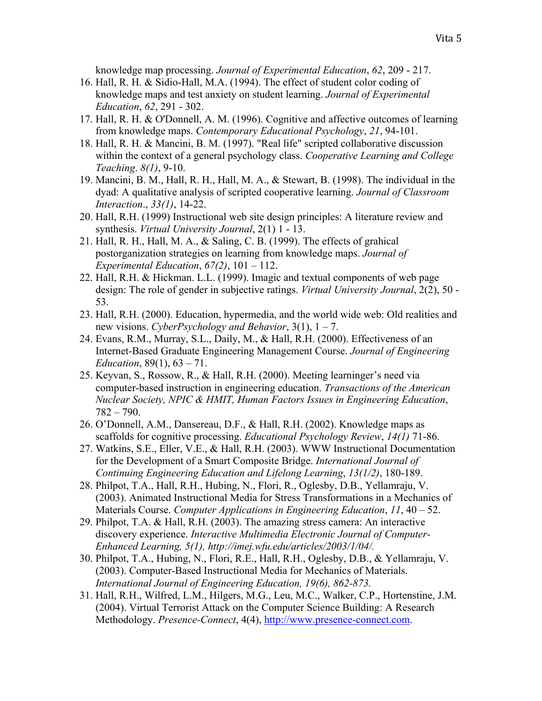knowledge map processing. *Journal of Experimental Education*, *62*, 209 - 217.

- 16. Hall, R. H. & Sidio-Hall, M.A. (1994). The effect of student color coding of knowledge maps and test anxiety on student learning. *Journal of Experimental Education*, *62*, 291 - 302.
- 17. Hall, R. H. & O'Donnell, A. M. (1996). Cognitive and affective outcomes of learning from knowledge maps. *Contemporary Educational Psychology*, *21*, 94-101.
- 18. Hall, R. H. & Mancini, B. M. (1997). "Real life" scripted collaborative discussion within the context of a general psychology class. *Cooperative Learning and College Teaching*. *8(1)*, 9-10.
- 19. Mancini, B. M., Hall, R. H., Hall, M. A., & Stewart, B. (1998). The individual in the dyad: A qualitative analysis of scripted cooperative learning. *Journal of Classroom Interaction*., *33(1)*, 14-22.
- 20. Hall, R.H. (1999) Instructional web site design principles: A literature review and synthesis. *Virtual University Journal*, 2(1) 1 - 13.
- 21. Hall, R. H., Hall, M. A., & Saling, C. B. (1999). The effects of grahical postorganization strategies on learning from knowledge maps. *Journal of Experimental Education*, *67(2)*, 101 – 112.
- 22. Hall, R.H. & Hickman. L.L. (1999). Imagic and textual components of web page design: The role of gender in subjective ratings. *Virtual University Journal*, 2(2), 50 - 53.
- 23. Hall, R.H. (2000). Education, hypermedia, and the world wide web: Old realities and new visions. *CyberPsychology and Behavior*, 3(1), 1 – 7.
- 24. Evans, R.M., Murray, S.L., Daily, M., & Hall, R.H. (2000). Effectiveness of an Internet-Based Graduate Engineering Management Course. *Journal of Engineering Education*, 89(1), 63 – 71.
- 25. Keyvan, S., Rossow, R., & Hall, R.H. (2000). Meeting learninger's need via computer-based instruction in engineering education. *Transactions of the American Nuclear Society, NPIC & HMIT, Human Factors Issues in Engineering Education*, 782 – 790.
- 26. O'Donnell, A.M., Dansereau, D.F., & Hall, R.H. (2002). Knowledge maps as scaffolds for cognitive processing. *Educational Psychology Review*, *14(1)* 71-86.
- 27. Watkins, S.E., Eller, V.E., & Hall, R.H. (2003). WWW Instructional Documentation for the Development of a Smart Composite Bridge. *International Journal of Continuing Engineering Education and Lifelong Learning*, *13(1/2)*, 180-189.
- 28. Philpot, T.A., Hall, R.H., Hubing, N., Flori, R., Oglesby, D.B., Yellamraju, V. (2003). Animated Instructional Media for Stress Transformations in a Mechanics of Materials Course. *Computer Applications in Engineering Education*, *11*, 40 – 52.
- 29. Philpot, T.A. & Hall, R.H. (2003). The amazing stress camera: An interactive discovery experience. *Interactive Multimedia Electronic Journal of Computer-Enhanced Learning, 5(1), http://imej.wfu.edu/articles/2003/1/04/.*
- 30. Philpot, T.A., Hubing, N., Flori, R.E., Hall, R.H., Oglesby, D.B., & Yellamraju, V. (2003). Computer-Based Instructional Media for Mechanics of Materials. *International Journal of Engineering Education, 19(6), 862-873.*
- 31. Hall, R.H., Wilfred, L.M., Hilgers, M.G., Leu, M.C., Walker, C.P., Hortenstine, J.M. (2004). Virtual Terrorist Attack on the Computer Science Building: A Research Methodology. *Presence-Connect*, 4(4), http://www.presence-connect.com.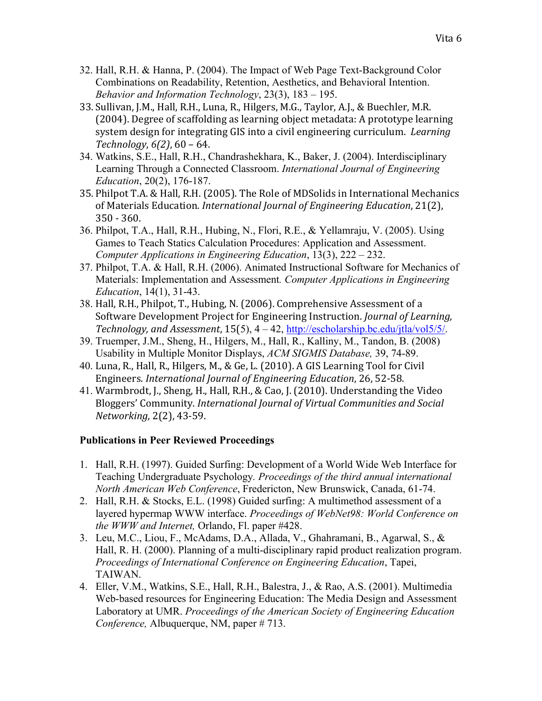- 32. Hall, R.H. & Hanna, P. (2004). The Impact of Web Page Text-Background Color Combinations on Readability, Retention, Aesthetics, and Behavioral Intention. *Behavior and Information Technology*, 23(3), 183 – 195.
- 33. Sullivan, J.M., Hall, R.H., Luna, R., Hilgers, M.G., Taylor, A.J., & Buechler, M.R.  $(2004)$ . Degree of scaffolding as learning object metadata: A prototype learning system design for integrating GIS into a civil engineering curriculum. *Learning Technology*,  $6(2)$ ,  $60 - 64$ .
- 34. Watkins, S.E., Hall, R.H., Chandrashekhara, K., Baker, J. (2004). Interdisciplinary Learning Through a Connected Classroom. *International Journal of Engineering Education*, 20(2), 176-187.
- 35. Philpot T.A. & Hall, R.H. (2005). The Role of MDSolids in International Mechanics of Materials Education. *International Journal of Engineering Education*, 21(2), 350 - 360.
- 36. Philpot, T.A., Hall, R.H., Hubing, N., Flori, R.E., & Yellamraju, V. (2005). Using Games to Teach Statics Calculation Procedures: Application and Assessment. *Computer Applications in Engineering Education*, 13(3), 222 – 232.
- 37. Philpot, T.A. & Hall, R.H. (2006). Animated Instructional Software for Mechanics of Materials: Implementation and Assessment*. Computer Applications in Engineering Education*, 14(1), 31-43.
- 38. Hall, R.H., Philpot, T., Hubing, N. (2006). Comprehensive Assessment of a Software Development Project for Engineering Instruction. *Journal of Learning*, *Technology,'and'Assessment*,!15(5), 4 – 42, http://escholarship.bc.edu/jtla/vol5/5/.
- 39. Truemper, J.M., Sheng, H., Hilgers, M., Hall, R., Kalliny, M., Tandon, B. (2008) Usability in Multiple Monitor Displays, *ACM SIGMIS Database,* 39, 74-89.
- 40. Luna, R., Hall, R., Hilgers, M., & Ge, L. (2010). A GIS Learning Tool for Civil Engineers. *International Journal of Engineering Education*, 26, 52-58.
- 41. Warmbrodt, J., Sheng, H., Hall, R.H., & Cao, J. (2010). Understanding the Video Bloggers'!Community.!*International'Journal'of'Virtual'Communities'and'Social' Networking*, 2(2), 43-59.

# **Publications in Peer Reviewed Proceedings**

- 1. Hall, R.H. (1997). Guided Surfing: Development of a World Wide Web Interface for Teaching Undergraduate Psychology*. Proceedings of the third annual international North American Web Conference*, Fredericton, New Brunswick, Canada, 61-74.
- 2. Hall, R.H. & Stocks, E.L. (1998) Guided surfing: A multimethod assessment of a layered hypermap WWW interface. *Proceedings of WebNet98: World Conference on the WWW and Internet,* Orlando, Fl. paper #428.
- 3. Leu, M.C., Liou, F., McAdams, D.A., Allada, V., Ghahramani, B., Agarwal, S., & Hall, R. H. (2000). Planning of a multi-disciplinary rapid product realization program. *Proceedings of International Conference on Engineering Education*, Tapei, TAIWAN.
- 4. Eller, V.M., Watkins, S.E., Hall, R.H., Balestra, J., & Rao, A.S. (2001). Multimedia Web-based resources for Engineering Education: The Media Design and Assessment Laboratory at UMR. *Proceedings of the American Society of Engineering Education Conference,* Albuquerque, NM, paper # 713.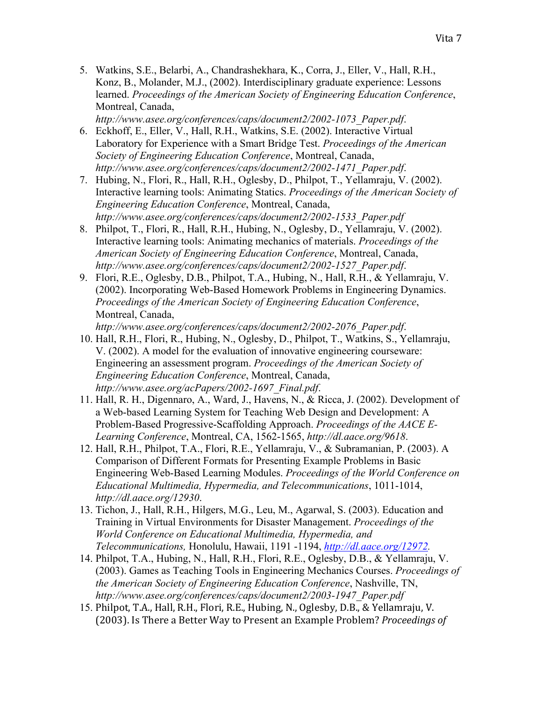5. Watkins, S.E., Belarbi, A., Chandrashekhara, K., Corra, J., Eller, V., Hall, R.H., Konz, B., Molander, M.J., (2002). Interdisciplinary graduate experience: Lessons learned. *Proceedings of the American Society of Engineering Education Conference*, Montreal, Canada,

*http://www.asee.org/conferences/caps/document2/2002-1073\_Paper.pdf*.

- 6. Eckhoff, E., Eller, V., Hall, R.H., Watkins, S.E. (2002). Interactive Virtual Laboratory for Experience with a Smart Bridge Test. *Proceedings of the American Society of Engineering Education Conference*, Montreal, Canada, *http://www.asee.org/conferences/caps/document2/2002-1471\_Paper.pdf*.
- 7. Hubing, N., Flori, R., Hall, R.H., Oglesby, D., Philpot, T., Yellamraju, V. (2002). Interactive learning tools: Animating Statics. *Proceedings of the American Society of Engineering Education Conference*, Montreal, Canada, *http://www.asee.org/conferences/caps/document2/2002-1533\_Paper.pdf*
- 8. Philpot, T., Flori, R., Hall, R.H., Hubing, N., Oglesby, D., Yellamraju, V. (2002). Interactive learning tools: Animating mechanics of materials. *Proceedings of the American Society of Engineering Education Conference*, Montreal, Canada, *http://www.asee.org/conferences/caps/document2/2002-1527\_Paper.pdf*.
- 9. Flori, R.E., Oglesby, D.B., Philpot, T.A., Hubing, N., Hall, R.H., & Yellamraju, V. (2002). Incorporating Web-Based Homework Problems in Engineering Dynamics. *Proceedings of the American Society of Engineering Education Conference*, Montreal, Canada,

*http://www.asee.org/conferences/caps/document2/2002-2076\_Paper.pdf*.

- 10. Hall, R.H., Flori, R., Hubing, N., Oglesby, D., Philpot, T., Watkins, S., Yellamraju, V. (2002). A model for the evaluation of innovative engineering courseware: Engineering an assessment program. *Proceedings of the American Society of Engineering Education Conference*, Montreal, Canada, *http://www.asee.org/acPapers/2002-1697\_Final.pdf*.
- 11. Hall, R. H., Digennaro, A., Ward, J., Havens, N., & Ricca, J. (2002). Development of a Web-based Learning System for Teaching Web Design and Development: A Problem-Based Progressive-Scaffolding Approach. *Proceedings of the AACE E-Learning Conference*, Montreal, CA, 1562-1565, *http://dl.aace.org/9618*.
- 12. Hall, R.H., Philpot, T.A., Flori, R.E., Yellamraju, V., & Subramanian, P. (2003). A Comparison of Different Formats for Presenting Example Problems in Basic Engineering Web-Based Learning Modules. *Proceedings of the World Conference on Educational Multimedia, Hypermedia, and Telecommunications*, 1011-1014, *http://dl.aace.org/12930*.
- 13. Tichon, J., Hall, R.H., Hilgers, M.G., Leu, M., Agarwal, S. (2003). Education and Training in Virtual Environments for Disaster Management. *Proceedings of the World Conference on Educational Multimedia, Hypermedia, and Telecommunications,* Honolulu, Hawaii, 1191 -1194, *http://dl.aace.org/12972.*
- 14. Philpot, T.A., Hubing, N., Hall, R.H., Flori, R.E., Oglesby, D.B., & Yellamraju, V. (2003). Games as Teaching Tools in Engineering Mechanics Courses. *Proceedings of the American Society of Engineering Education Conference*, Nashville, TN, *http://www.asee.org/conferences/caps/document2/2003-1947\_Paper.pdf*
- 15. Philpot, T.A., Hall, R.H., Flori, R.E., Hubing, N., Oglesby, D.B., & Yellamraju, V. (2003). Is There a Better Way to Present an Example Problem? *Proceedings of*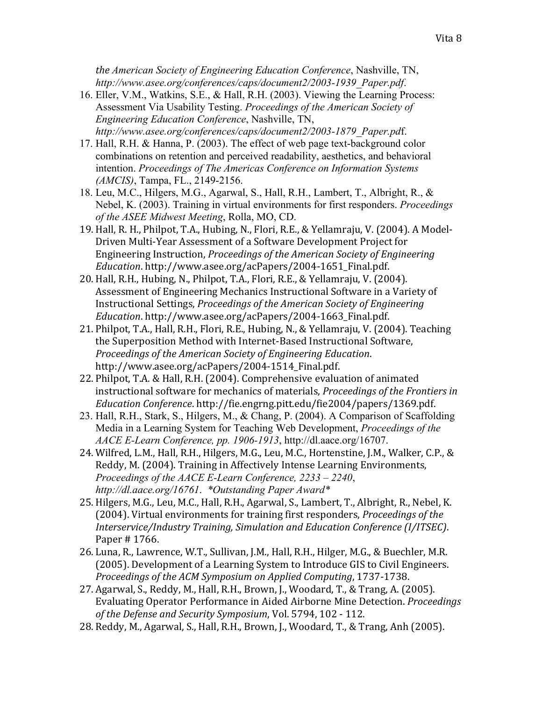*the'American Society of Engineering Education Conference*, Nashville, TN, *http://www.asee.org/conferences/caps/document2/2003-1939\_Paper.pdf*.

- 16. Eller, V.M., Watkins, S.E., & Hall, R.H. (2003). Viewing the Learning Process: Assessment Via Usability Testing. *Proceedings of the American Society of Engineering Education Conference*, Nashville, TN, *http://www.asee.org/conferences/caps/document2/2003-1879\_Paper.pd*f.
- 17. Hall, R.H. & Hanna, P. (2003). The effect of web page text-background color combinations on retention and perceived readability, aesthetics, and behavioral intention. *Proceedings of The Americas Conference on Information Systems (AMCIS)*, Tampa, FL., 2149-2156.
- 18. Leu, M.C., Hilgers, M.G., Agarwal, S., Hall, R.H., Lambert, T., Albright, R., & Nebel, K. (2003). Training in virtual environments for first responders. *Proceedings of the ASEE Midwest Meeting*, Rolla, MO, CD.
- 19. Hall, R. H., Philpot, T.A., Hubing, N., Flori, R.E., & Yellamraju, V. (2004). A Model-Driven Multi-Year Assessment of a Software Development Project for Engineering Instruction, *Proceedings of the American Society of Engineering Education.http://www.asee.org/acPapers/2004-1651\_Final.pdf.*
- 20. Hall, R.H., Hubing, N., Philpot, T.A., Flori, R.E., & Yellamraju, V. (2004). Assessment of Engineering Mechanics Instructional Software in a Variety of Instructional Settings, *Proceedings of the American Society of Engineering Education.http://www.asee.org/acPapers/2004-1663\_Final.pdf.*
- 21. Philpot, T.A., Hall, R.H., Flori, R.E., Hubing, N., & Yellamraju, V. (2004). Teaching the Superposition Method with Internet-Based Instructional Software, *Proceedings'of'the'American'Society'of'Engineering'Education*.! http://www.asee.org/acPapers/2004-1514 Final.pdf.
- 22. Philpot, T.A. & Hall, R.H. (2004). Comprehensive evaluation of animated instructional software for mechanics of materials, Proceedings of the Frontiers in *Education'Conference*.!http://fie.engrng.pitt.edu/fie2004/papers/1369.pdf.
- 23. Hall, R.H., Stark, S., Hilgers, M., & Chang, P. (2004). A Comparison of Scaffolding Media in a Learning System for Teaching Web Development, *Proceedings of the AACE E-Learn Conference, pp. 1906-1913*, http://dl.aace.org/16707.
- 24. Wilfred, L.M., Hall, R.H., Hilgers, M.G., Leu, M.C., Hortenstine, J.M., Walker, C.P., & Reddy, M. (2004). Training in Affectively Intense Learning Environments, *Proceedings of the AACE E-Learn Conference, 2233 – 2240*, *http://dl.aace.org/16761*. *\*Outstanding Paper Award\**
- 25. Hilgers, M.G., Leu, M.C., Hall, R.H., Agarwal, S., Lambert, T., Albright, R., Nebel, K. (2004). Virtual environments for training first responders, *Proceedings of the Interservice/Industry'Training,'Simulation'and'Education'Conference'(I/ITSEC)*.! Paper # 1766.
- 26. Luna, R., Lawrence, W.T., Sullivan, J.M., Hall, R.H., Hilger, M.G., & Buechler, M.R. (2005). Development of a Learning System to Introduce GIS to Civil Engineers. *Proceedings of the ACM Symposium on Applied Computing, 1737-1738.*
- 27. Agarwal, S., Reddy, M., Hall, R.H., Brown, J., Woodard, T., & Trang, A. (2005). Evaluating Operator Performance in Aided Airborne Mine Detection. *Proceedings* of the Defense and Security Symposium, Vol. 5794, 102 - 112.
- 28. Reddy, M., Agarwal, S., Hall, R.H., Brown, J., Woodard, T., & Trang, Anh (2005).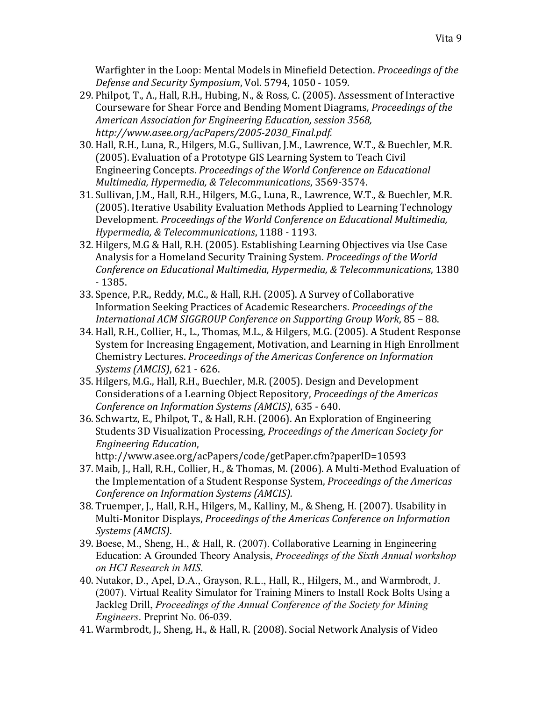Warfighter in the Loop: Mental Models in Minefield Detection. *Proceedings of the* Defense and Security Symposium, Vol. 5794, 1050 - 1059.

- 29. Philpot, T., A., Hall, R.H., Hubing, N., & Ross, C. (2005). Assessment of Interactive Courseware for Shear Force and Bending Moment Diagrams, *Proceedings of the American'Association'for'Engineering'Education,'session'3568,'* http://www.asee.org/acPapers/2005-2030\_Final.pdf.
- 30. Hall, R.H., Luna, R., Hilgers, M.G., Sullivan, J.M., Lawrence, W.T., & Buechler, M.R. (2005). Evaluation of a Prototype GIS Learning System to Teach Civil Engineering!Concepts.!*Proceedings'of'the'World'Conference'on'Educational' Multimedia, Hypermedia, & Telecommunications, 3569-3574.*
- 31. Sullivan, J.M., Hall, R.H., Hilgers, M.G., Luna, R., Lawrence, W.T., & Buechler, M.R. (2005). Iterative Usability Evaluation Methods Applied to Learning Technology Development. *Proceedings of the World Conference on Educational Multimedia, Hypermedia, & Telecommunications, 1188 - 1193.*
- 32. Hilgers, M.G & Hall, R.H. (2005). Establishing Learning Objectives via Use Case Analysis for a Homeland Security Training System. *Proceedings of the World Conference'on'Educational'Multimedia,'Hypermedia,'&'Telecommunications*,!1380! Q!1385.
- 33. Spence, P.R., Reddy, M.C., & Hall, R.H. (2005). A Survey of Collaborative Information Seeking Practices of Academic Researchers. *Proceedings of the* International ACM SIGGROUP Conference on Supporting Group Work, 85 - 88.
- 34. Hall, R.H., Collier, H., L., Thomas, M.L., & Hilgers, M.G. (2005). A Student Response System for Increasing Engagement, Motivation, and Learning in High Enrollment Chemistry!Lectures.!*Proceedings'of'the'Americas'Conference'on'Information' Systems (AMCIS)*, 621 - 626.
- 35. Hilgers, M.G., Hall, R.H., Buechler, M.R. (2005). Design and Development ! Considerations of a Learning Object Repository, *Proceedings of the Americas Conference on Information Systems (AMCIS)*, 635 - 640.
- 36. Schwartz, E., Philpot, T., & Hall, R.H. (2006). An Exploration of Engineering Students 3D Visualization Processing, *Proceedings of the American Society for Engineering'Education*,!

http://www.asee.org/acPapers/code/getPaper.cfm?paperID=10593

- 37. Maib, J., Hall, R.H., Collier, H., & Thomas, M. (2006). A Multi-Method Evaluation of the Implementation of a Student Response System, *Proceedings of the Americas Conference'on'Information'Systems'(AMCIS).*
- 38. Truemper, J., Hall, R.H., Hilgers, M., Kalliny, M., & Sheng, H. (2007). Usability in Multi-Monitor Displays, *Proceedings of the Americas Conference on Information Systems'(AMCIS)*.
- 39. Boese, M., Sheng, H., & Hall, R. (2007). Collaborative Learning in Engineering Education: A Grounded Theory Analysis, *Proceedings of the Sixth Annual workshop on HCI Research in MIS*.
- 40. Nutakor, D., Apel, D.A., Grayson, R.L., Hall, R., Hilgers, M., and Warmbrodt, J. (2007). Virtual Reality Simulator for Training Miners to Install Rock Bolts Using a Jackleg Drill, *Proceedings of the Annual Conference of the Society for Mining Engineers*. Preprint No. 06-039.
- 41. Warmbrodt, J., Sheng, H., & Hall, R. (2008). Social Network Analysis of Video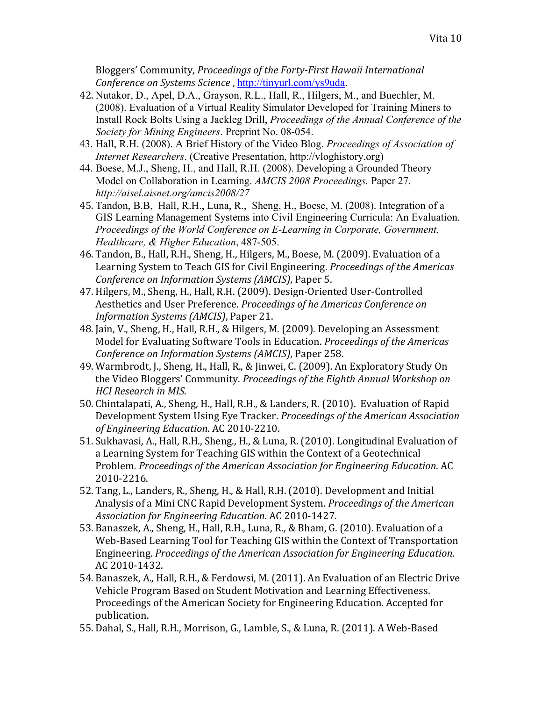Bloggers' Community, *Proceedings of the Forty-First Hawaii International Conference on Systems Science*, http://tinyurl.com/ys9uda.

- 42. Nutakor, D., Apel, D.A., Grayson, R.L., Hall, R., Hilgers, M., and Buechler, M. (2008). Evaluation of a Virtual Reality Simulator Developed for Training Miners to Install Rock Bolts Using a Jackleg Drill, *Proceedings of the Annual Conference of the Society for Mining Engineers*. Preprint No. 08-054.
- 43. Hall, R.H. (2008). A Brief History of the Video Blog. *Proceedings of Association of Internet Researchers*. (Creative Presentation, http://vloghistory.org)
- 44. Boese, M.J., Sheng, H., and Hall, R.H. (2008). Developing a Grounded Theory Model on Collaboration in Learning. *AMCIS 2008 Proceedings.* Paper 27. *http://aisel.aisnet.org/amcis2008/27*
- 45. Tandon, B.B, Hall, R.H., Luna, R., Sheng, H., Boese, M. (2008). Integration of a GIS Learning Management Systems into Civil Engineering Curricula: An Evaluation. *Proceedings of the World Conference on E-Learning in Corporate, Government, Healthcare, & Higher Education*, 487-505.
- 46. Tandon, B., Hall, R.H., Sheng, H., Hilgers, M., Boese, M. (2009). Evaluation of a Learning System to Teach GIS for Civil Engineering. *Proceedings of the Americas Conference on Information Systems (AMCIS)*, Paper 5.
- 47. Hilgers, M., Sheng, H., Hall, R.H. (2009). Design-Oriented User-Controlled Aesthetics and User Preference. *Proceedings of he Americas Conference on Information Systems (AMCIS)*, Paper 21.
- 48. Jain, V., Sheng, H., Hall, R.H., & Hilgers, M. (2009). Developing an Assessment Model for Evaluating Software Tools in Education. *Proceedings of the Americas Conference on Information Systems (AMCIS)*, Paper 258.
- 49. Warmbrodt, J., Sheng, H., Hall, R., & Jinwei, C. (2009). An Exploratory Study On the Video Bloggers' Community. *Proceedings of the Eighth Annual Workshop on HCI'Research'in'MIS*.
- 50. Chintalapati, A., Sheng, H., Hall, R.H., & Landers, R. (2010). Evaluation of Rapid Development System Using Eye Tracker. *Proceedings of the American Association* of Engineering Education. AC 2010-2210.
- 51. Sukhavasi, A., Hall, R.H., Sheng., H., & Luna, R. (2010). Longitudinal Evaluation of a Learning System for Teaching GIS within the Context of a Geotechnical Problem. Proceedings of the American Association for Engineering Education. AC 2010-2216.
- 52. Tang, L., Landers, R., Sheng, H., & Hall, R.H. (2010). Development and Initial Analysis of a Mini CNC Rapid Development System. *Proceedings of the American* Association for Engineering Education. AC 2010-1427.
- 53. Banaszek, A., Sheng, H., Hall, R.H., Luna, R., & Bham, G. (2010). Evaluation of a Web-Based Learning Tool for Teaching GIS within the Context of Transportation Engineering.!*Proceedings'of'the'American'Association'for'Engineering'Education*.! AC 2010-1432.
- 54. Banaszek, A., Hall, R.H., & Ferdowsi, M. (2011). An Evaluation of an Electric Drive Vehicle Program Based on Student Motivation and Learning Effectiveness. Proceedings of the American Society for Engineering Education. Accepted for publication.
- 55. Dahal, S., Hall, R.H., Morrison, G., Lamble, S., & Luna, R. (2011). A Web-Based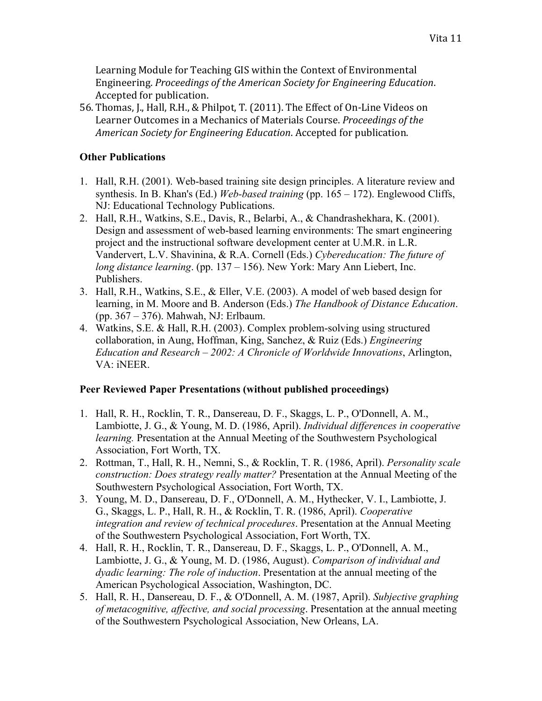Learning Module for Teaching GIS within the Context of Environmental Engineering.!*Proceedings'of'the'American'Society'for'Engineering'Education*.! Accepted for publication.

56. Thomas, J., Hall, R.H., & Philpot, T. (2011). The Effect of On-Line Videos on Learner Outcomes in a Mechanics of Materials Course. *Proceedings of the American Society for Engineering Education.* Accepted for publication.

## **Other Publications**

- 1. Hall, R.H. (2001). Web-based training site design principles. A literature review and synthesis. In B. Khan's (Ed.) *Web-based training* (pp. 165 – 172). Englewood Cliffs, NJ: Educational Technology Publications.
- 2. Hall, R.H., Watkins, S.E., Davis, R., Belarbi, A., & Chandrashekhara, K. (2001). Design and assessment of web-based learning environments: The smart engineering project and the instructional software development center at U.M.R. in L.R. Vandervert, L.V. Shavinina, & R.A. Cornell (Eds.) *Cybereducation: The future of long distance learning*. (pp. 137 – 156). New York: Mary Ann Liebert, Inc. Publishers.
- 3. Hall, R.H., Watkins, S.E., & Eller, V.E. (2003). A model of web based design for learning, in M. Moore and B. Anderson (Eds.) *The Handbook of Distance Education*. (pp. 367 – 376). Mahwah, NJ: Erlbaum.
- 4. Watkins, S.E. & Hall, R.H. (2003). Complex problem-solving using structured collaboration, in Aung, Hoffman, King, Sanchez, & Ruiz (Eds.) *Engineering Education and Research – 2002: A Chronicle of Worldwide Innovations*, Arlington, VA: iNEER.

# **Peer Reviewed Paper Presentations (without published proceedings)**

- 1. Hall, R. H., Rocklin, T. R., Dansereau, D. F., Skaggs, L. P., O'Donnell, A. M., Lambiotte, J. G., & Young, M. D. (1986, April). *Individual differences in cooperative learning.* Presentation at the Annual Meeting of the Southwestern Psychological Association, Fort Worth, TX.
- 2. Rottman, T., Hall, R. H., Nemni, S., & Rocklin, T. R. (1986, April). *Personality scale construction: Does strategy really matter?* Presentation at the Annual Meeting of the Southwestern Psychological Association, Fort Worth, TX.
- 3. Young, M. D., Dansereau, D. F., O'Donnell, A. M., Hythecker, V. I., Lambiotte, J. G., Skaggs, L. P., Hall, R. H., & Rocklin, T. R. (1986, April). *Cooperative integration and review of technical procedures*. Presentation at the Annual Meeting of the Southwestern Psychological Association, Fort Worth, TX.
- 4. Hall, R. H., Rocklin, T. R., Dansereau, D. F., Skaggs, L. P., O'Donnell, A. M., Lambiotte, J. G., & Young, M. D. (1986, August). *Comparison of individual and dyadic learning: The role of induction*. Presentation at the annual meeting of the American Psychological Association, Washington, DC.
- 5. Hall, R. H., Dansereau, D. F., & O'Donnell, A. M. (1987, April). *Subjective graphing of metacognitive, affective, and social processing*. Presentation at the annual meeting of the Southwestern Psychological Association, New Orleans, LA.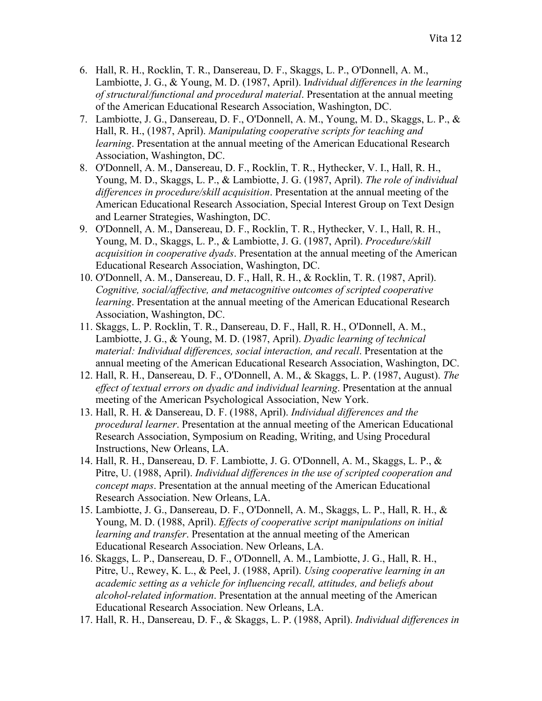- 6. Hall, R. H., Rocklin, T. R., Dansereau, D. F., Skaggs, L. P., O'Donnell, A. M., Lambiotte, J. G., & Young, M. D. (1987, April). I*ndividual differences in the learning of structural/functional and procedural material*. Presentation at the annual meeting of the American Educational Research Association, Washington, DC.
- 7. Lambiotte, J. G., Dansereau, D. F., O'Donnell, A. M., Young, M. D., Skaggs, L. P., & Hall, R. H., (1987, April). *Manipulating cooperative scripts for teaching and learning*. Presentation at the annual meeting of the American Educational Research Association, Washington, DC.
- 8. O'Donnell, A. M., Dansereau, D. F., Rocklin, T. R., Hythecker, V. I., Hall, R. H., Young, M. D., Skaggs, L. P., & Lambiotte, J. G. (1987, April). *The role of individual differences in procedure/skill acquisition*. Presentation at the annual meeting of the American Educational Research Association, Special Interest Group on Text Design and Learner Strategies, Washington, DC.
- 9. O'Donnell, A. M., Dansereau, D. F., Rocklin, T. R., Hythecker, V. I., Hall, R. H., Young, M. D., Skaggs, L. P., & Lambiotte, J. G. (1987, April). *Procedure/skill acquisition in cooperative dyads*. Presentation at the annual meeting of the American Educational Research Association, Washington, DC.
- 10. O'Donnell, A. M., Dansereau, D. F., Hall, R. H., & Rocklin, T. R. (1987, April). *Cognitive, social/affective, and metacognitive outcomes of scripted cooperative learning*. Presentation at the annual meeting of the American Educational Research Association, Washington, DC.
- 11. Skaggs, L. P. Rocklin, T. R., Dansereau, D. F., Hall, R. H., O'Donnell, A. M., Lambiotte, J. G., & Young, M. D. (1987, April). *Dyadic learning of technical material: Individual differences, social interaction, and recall*. Presentation at the annual meeting of the American Educational Research Association, Washington, DC.
- 12. Hall, R. H., Dansereau, D. F., O'Donnell, A. M., & Skaggs, L. P. (1987, August). *The effect of textual errors on dyadic and individual learning*. Presentation at the annual meeting of the American Psychological Association, New York.
- 13. Hall, R. H. & Dansereau, D. F. (1988, April). *Individual differences and the procedural learner*. Presentation at the annual meeting of the American Educational Research Association, Symposium on Reading, Writing, and Using Procedural Instructions, New Orleans, LA.
- 14. Hall, R. H., Dansereau, D. F. Lambiotte, J. G. O'Donnell, A. M., Skaggs, L. P., & Pitre, U. (1988, April). *Individual differences in the use of scripted cooperation and concept maps*. Presentation at the annual meeting of the American Educational Research Association. New Orleans, LA.
- 15. Lambiotte, J. G., Dansereau, D. F., O'Donnell, A. M., Skaggs, L. P., Hall, R. H., & Young, M. D. (1988, April). *Effects of cooperative script manipulations on initial learning and transfer*. Presentation at the annual meeting of the American Educational Research Association. New Orleans, LA.
- 16. Skaggs, L. P., Dansereau, D. F., O'Donnell, A. M., Lambiotte, J. G., Hall, R. H., Pitre, U., Rewey, K. L., & Peel, J. (1988, April). *Using cooperative learning in an academic setting as a vehicle for influencing recall, attitudes, and beliefs about alcohol-related information*. Presentation at the annual meeting of the American Educational Research Association. New Orleans, LA.
- 17. Hall, R. H., Dansereau, D. F., & Skaggs, L. P. (1988, April). *Individual differences in*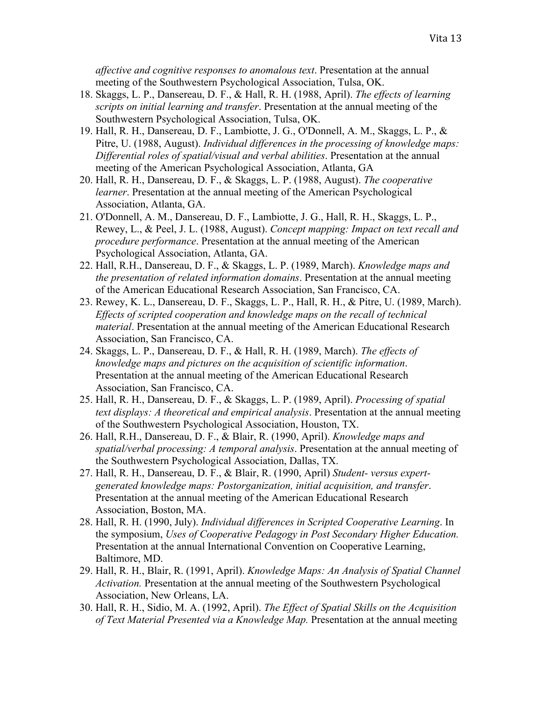*affective and cognitive responses to anomalous text*. Presentation at the annual meeting of the Southwestern Psychological Association, Tulsa, OK.

- 18. Skaggs, L. P., Dansereau, D. F., & Hall, R. H. (1988, April). *The effects of learning scripts on initial learning and transfer*. Presentation at the annual meeting of the Southwestern Psychological Association, Tulsa, OK.
- 19. Hall, R. H., Dansereau, D. F., Lambiotte, J. G., O'Donnell, A. M., Skaggs, L. P., & Pitre, U. (1988, August). *Individual differences in the processing of knowledge maps: Differential roles of spatial/visual and verbal abilities*. Presentation at the annual meeting of the American Psychological Association, Atlanta, GA
- 20. Hall, R. H., Dansereau, D. F., & Skaggs, L. P. (1988, August). *The cooperative learner*. Presentation at the annual meeting of the American Psychological Association, Atlanta, GA.
- 21. O'Donnell, A. M., Dansereau, D. F., Lambiotte, J. G., Hall, R. H., Skaggs, L. P., Rewey, L., & Peel, J. L. (1988, August). *Concept mapping: Impact on text recall and procedure performance*. Presentation at the annual meeting of the American Psychological Association, Atlanta, GA.
- 22. Hall, R.H., Dansereau, D. F., & Skaggs, L. P. (1989, March). *Knowledge maps and the presentation of related information domains*. Presentation at the annual meeting of the American Educational Research Association, San Francisco, CA.
- 23. Rewey, K. L., Dansereau, D. F., Skaggs, L. P., Hall, R. H., & Pitre, U. (1989, March). *Effects of scripted cooperation and knowledge maps on the recall of technical material*. Presentation at the annual meeting of the American Educational Research Association, San Francisco, CA.
- 24. Skaggs, L. P., Dansereau, D. F., & Hall, R. H. (1989, March). *The effects of knowledge maps and pictures on the acquisition of scientific information*. Presentation at the annual meeting of the American Educational Research Association, San Francisco, CA.
- 25. Hall, R. H., Dansereau, D. F., & Skaggs, L. P. (1989, April). *Processing of spatial text displays: A theoretical and empirical analysis*. Presentation at the annual meeting of the Southwestern Psychological Association, Houston, TX.
- 26. Hall, R.H., Dansereau, D. F., & Blair, R. (1990, April). *Knowledge maps and spatial/verbal processing: A temporal analysis*. Presentation at the annual meeting of the Southwestern Psychological Association, Dallas, TX.
- 27. Hall, R. H., Dansereau, D. F., & Blair, R. (1990, April) *Student- versus expertgenerated knowledge maps: Postorganization, initial acquisition, and transfer*. Presentation at the annual meeting of the American Educational Research Association, Boston, MA.
- 28. Hall, R. H. (1990, July). *Individual differences in Scripted Cooperative Learning*. In the symposium, *Uses of Cooperative Pedagogy in Post Secondary Higher Education.*  Presentation at the annual International Convention on Cooperative Learning, Baltimore, MD.
- 29. Hall, R. H., Blair, R. (1991, April). *Knowledge Maps: An Analysis of Spatial Channel Activation.* Presentation at the annual meeting of the Southwestern Psychological Association, New Orleans, LA.
- 30. Hall, R. H., Sidio, M. A. (1992, April). *The Effect of Spatial Skills on the Acquisition of Text Material Presented via a Knowledge Map.* Presentation at the annual meeting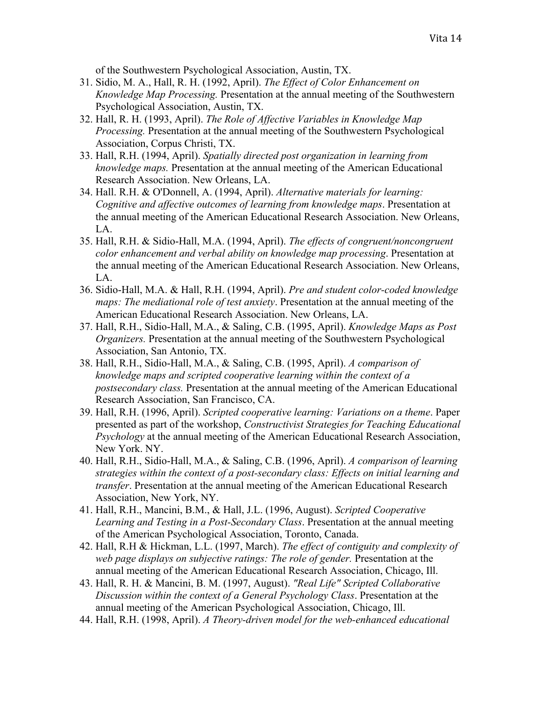of the Southwestern Psychological Association, Austin, TX.

- 31. Sidio, M. A., Hall, R. H. (1992, April). *The Effect of Color Enhancement on Knowledge Map Processing.* Presentation at the annual meeting of the Southwestern Psychological Association, Austin, TX.
- 32. Hall, R. H. (1993, April). *The Role of Affective Variables in Knowledge Map Processing.* Presentation at the annual meeting of the Southwestern Psychological Association, Corpus Christi, TX.
- 33. Hall, R.H. (1994, April). *Spatially directed post organization in learning from knowledge maps.* Presentation at the annual meeting of the American Educational Research Association. New Orleans, LA.
- 34. Hall. R.H. & O'Donnell, A. (1994, April). *Alternative materials for learning: Cognitive and affective outcomes of learning from knowledge maps*. Presentation at the annual meeting of the American Educational Research Association. New Orleans, LA.
- 35. Hall, R.H. & Sidio-Hall, M.A. (1994, April). *The effects of congruent/noncongruent color enhancement and verbal ability on knowledge map processing*. Presentation at the annual meeting of the American Educational Research Association. New Orleans, LA.
- 36. Sidio-Hall, M.A. & Hall, R.H. (1994, April). *Pre and student color-coded knowledge maps: The mediational role of test anxiety*. Presentation at the annual meeting of the American Educational Research Association. New Orleans, LA.
- 37. Hall, R.H., Sidio-Hall, M.A., & Saling, C.B. (1995, April). *Knowledge Maps as Post Organizers.* Presentation at the annual meeting of the Southwestern Psychological Association, San Antonio, TX.
- 38. Hall, R.H., Sidio-Hall, M.A., & Saling, C.B. (1995, April). *A comparison of knowledge maps and scripted cooperative learning within the context of a postsecondary class.* Presentation at the annual meeting of the American Educational Research Association, San Francisco, CA.
- 39. Hall, R.H. (1996, April). *Scripted cooperative learning: Variations on a theme*. Paper presented as part of the workshop, *Constructivist Strategies for Teaching Educational Psychology* at the annual meeting of the American Educational Research Association, New York. NY.
- 40. Hall, R.H., Sidio-Hall, M.A., & Saling, C.B. (1996, April). *A comparison of learning strategies within the context of a post-secondary class: Effects on initial learning and transfer*. Presentation at the annual meeting of the American Educational Research Association, New York, NY.
- 41. Hall, R.H., Mancini, B.M., & Hall, J.L. (1996, August). *Scripted Cooperative Learning and Testing in a Post-Secondary Class*. Presentation at the annual meeting of the American Psychological Association, Toronto, Canada.
- 42. Hall, R.H & Hickman, L.L. (1997, March). *The effect of contiguity and complexity of web page displays on subjective ratings: The role of gender.* Presentation at the annual meeting of the American Educational Research Association, Chicago, Ill.
- 43. Hall, R. H. & Mancini, B. M. (1997, August). *"Real Life" Scripted Collaborative Discussion within the context of a General Psychology Class*. Presentation at the annual meeting of the American Psychological Association, Chicago, Ill.
- 44. Hall, R.H. (1998, April). *A Theory-driven model for the web-enhanced educational*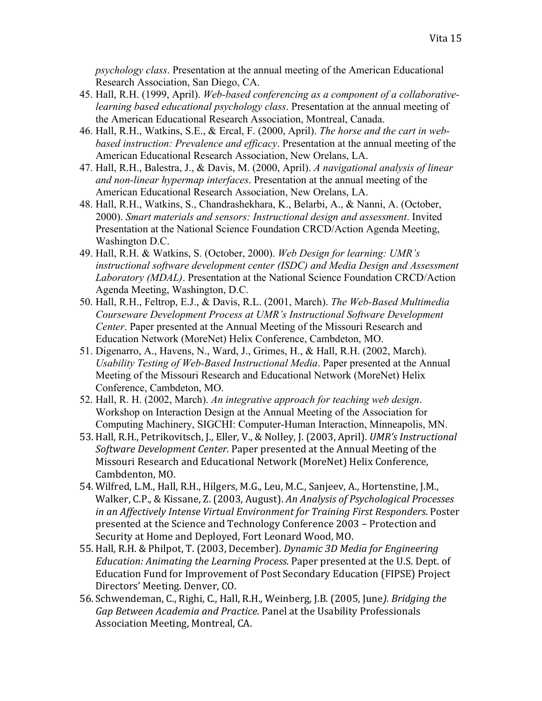*psychology class*. Presentation at the annual meeting of the American Educational Research Association, San Diego, CA.

- 45. Hall, R.H. (1999, April). *Web-based conferencing as a component of a collaborativelearning based educational psychology class*. Presentation at the annual meeting of the American Educational Research Association, Montreal, Canada.
- 46. Hall, R.H., Watkins, S.E., & Ercal, F. (2000, April). *The horse and the cart in webbased instruction: Prevalence and efficacy*. Presentation at the annual meeting of the American Educational Research Association, New Orelans, LA.
- 47. Hall, R.H., Balestra, J., & Davis, M. (2000, April). *A navigational analysis of linear and non-linear hypermap interfaces*. Presentation at the annual meeting of the American Educational Research Association, New Orelans, LA.
- 48. Hall, R.H., Watkins, S., Chandrashekhara, K., Belarbi, A., & Nanni, A. (October, 2000). *Smart materials and sensors: Instructional design and assessment*. Invited Presentation at the National Science Foundation CRCD/Action Agenda Meeting, Washington D.C.
- 49. Hall, R.H. & Watkins, S. (October, 2000). *Web Design for learning: UMR's instructional software development center (ISDC) and Media Design and Assessment Laboratory (MDAL)*. Presentation at the National Science Foundation CRCD/Action Agenda Meeting, Washington, D.C.
- 50. Hall, R.H., Feltrop, E.J., & Davis, R.L. (2001, March). *The Web-Based Multimedia Courseware Development Process at UMR's Instructional Software Development Center*. Paper presented at the Annual Meeting of the Missouri Research and Education Network (MoreNet) Helix Conference, Cambdeton, MO.
- 51. Digenarro, A., Havens, N., Ward, J., Grimes, H., & Hall, R.H. (2002, March). *Usability Testing of Web-Based Instructional Media*. Paper presented at the Annual Meeting of the Missouri Research and Educational Network (MoreNet) Helix Conference, Cambdeton, MO.
- 52. Hall, R. H. (2002, March). *An integrative approach for teaching web design*. Workshop on Interaction Design at the Annual Meeting of the Association for Computing Machinery, SIGCHI: Computer-Human Interaction, Minneapolis, MN.
- 53. Hall, R.H., Petrikovitsch, J., Eller, V., & Nolley, J. (2003, April). *UMR's Instructional Software Development Center.* Paper presented at the Annual Meeting of the Missouri Research and Educational Network (MoreNet) Helix Conference, Cambdenton, MO.
- 54. Wilfred, L.M., Hall, R.H., Hilgers, M.G., Leu, M.C., Sanjeev, A., Hortenstine, J.M., Walker, C.P., & Kissane, Z. (2003, August). *An Analysis of Psychological Processes* in an Affectively Intense Virtual Environment for Training First Responders. Poster presented at the Science and Technology Conference 2003 – Protection and Security at Home and Deployed, Fort Leonard Wood, MO.
- 55. Hall,!R.H.!&!Philpot,!T.!(2003,!December).!*Dynamic'3D'Media'for'Engineering' Education: Animating the Learning Process. Paper presented at the U.S. Dept. of* Education Fund for Improvement of Post Secondary Education (FIPSE) Project Directors' Meeting. Denver, CO.
- 56. Schwendeman, C., Righi, C., Hall, R.H., Weinberg, J.B. (2005, June). Bridging the Gap Between Academia and Practice. Panel at the Usability Professionals Association Meeting, Montreal, CA.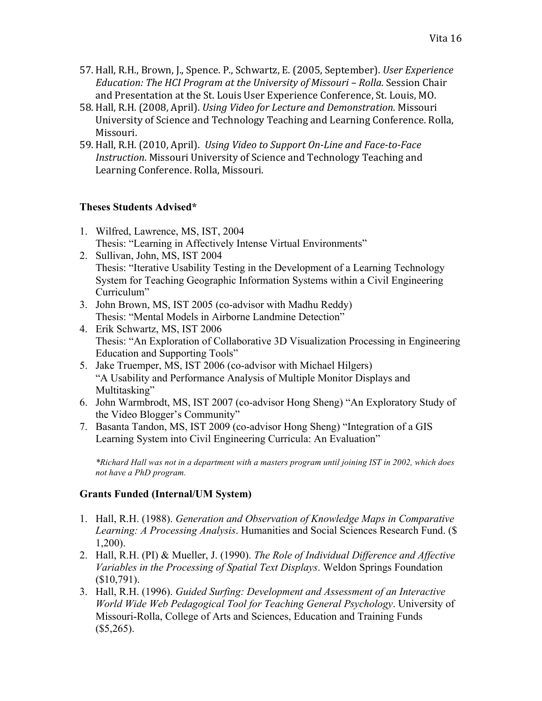- 57. Hall, R.H., Brown, J., Spence. P., Schwartz, E. (2005, September). *User Experience Education: The HCI Program at the University of Missouri – Rolla. Session Chair* and Presentation at the St. Louis User Experience Conference, St. Louis, MO.
- 58. Hall, R.H. (2008, April). *Using Video for Lecture and Demonstration*. Missouri University of Science and Technology Teaching and Learning Conference. Rolla, Missouri.
- 59. Hall, R.H. (2010, April). *Using Video to Support On-Line and Face-to-Face Instruction*. Missouri University of Science and Technology Teaching and Learning Conference. Rolla, Missouri.

### **Theses Students Advised\***

- 1. Wilfred, Lawrence, MS, IST, 2004 Thesis: "Learning in Affectively Intense Virtual Environments"
- 2. Sullivan, John, MS, IST 2004 Thesis: "Iterative Usability Testing in the Development of a Learning Technology System for Teaching Geographic Information Systems within a Civil Engineering Curriculum"
- 3. John Brown, MS, IST 2005 (co-advisor with Madhu Reddy) Thesis: "Mental Models in Airborne Landmine Detection"
- 4. Erik Schwartz, MS, IST 2006 Thesis: "An Exploration of Collaborative 3D Visualization Processing in Engineering Education and Supporting Tools"
- 5. Jake Truemper, MS, IST 2006 (co-advisor with Michael Hilgers) "A Usability and Performance Analysis of Multiple Monitor Displays and Multitasking"
- 6. John Warmbrodt, MS, IST 2007 (co-advisor Hong Sheng) "An Exploratory Study of the Video Blogger's Community"
- 7. Basanta Tandon, MS, IST 2009 (co-advisor Hong Sheng) "Integration of a GIS Learning System into Civil Engineering Curricula: An Evaluation"

*\*Richard Hall was not in a department with a masters program until joining IST in 2002, which does not have a PhD program.*

# **Grants Funded (Internal/UM System)**

- 1. Hall, R.H. (1988). *Generation and Observation of Knowledge Maps in Comparative Learning: A Processing Analysis*. Humanities and Social Sciences Research Fund. (\$ 1,200).
- 2. Hall, R.H. (PI) & Mueller, J. (1990). *The Role of Individual Difference and Affective Variables in the Processing of Spatial Text Displays*. Weldon Springs Foundation (\$10,791).
- 3. Hall, R.H. (1996). *Guided Surfing: Development and Assessment of an Interactive World Wide Web Pedagogical Tool for Teaching General Psychology*. University of Missouri-Rolla, College of Arts and Sciences, Education and Training Funds  $($5,265).$